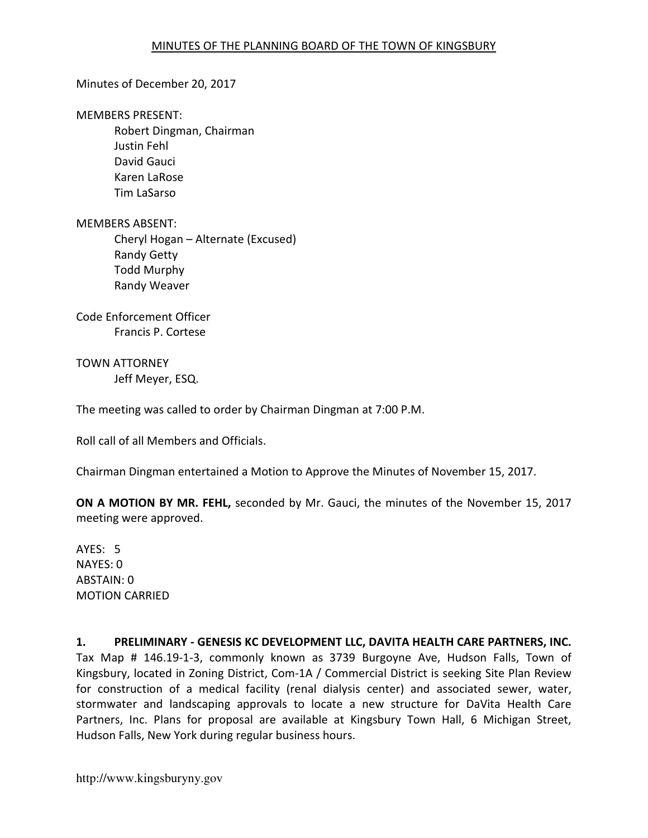## Minutes of December 20, 2017

#### MEMBERS PRESENT:

Robert Dingman, Chairman Justin Fehl David Gauci Karen LaRose Tim LaSarso

### MEMBERS ABSENT:

Cheryl Hogan – Alternate (Excused) Randy Getty Todd Murphy Randy Weaver

Code Enforcement Officer Francis P. Cortese

TOWN ATTORNEY Jeff Meyer, ESQ.

The meeting was called to order by Chairman Dingman at 7:00 P.M.

Roll call of all Members and Officials.

Chairman Dingman entertained a Motion to Approve the Minutes of November 15, 2017.

ON A MOTION BY MR. FEHL, seconded by Mr. Gauci, the minutes of the November 15, 2017 meeting were approved.

AYES: 5 NAYES: 0 ABSTAIN: 0 MOTION CARRIED

# 1. PRELIMINARY - GENESIS KC DEVELOPMENT LLC, DAVITA HEALTH CARE PARTNERS, INC. Tax Map # 146.19-1-3, commonly known as 3739 Burgoyne Ave, Hudson Falls, Town of Kingsbury, located in Zoning District, Com-1A / Commercial District is seeking Site Plan Review for construction of a medical facility (renal dialysis center) and associated sewer, water, stormwater and landscaping approvals to locate a new structure for DaVita Health Care Partners, Inc. Plans for proposal are available at Kingsbury Town Hall, 6 Michigan Street, Hudson Falls, New York during regular business hours.

http://www.kingsburyny.gov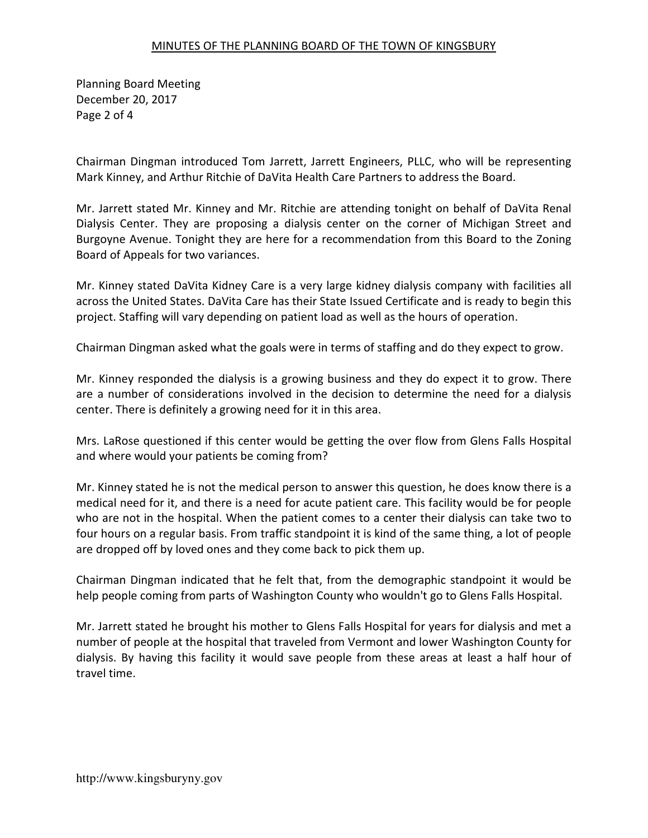## MINUTES OF THE PLANNING BOARD OF THE TOWN OF KINGSBURY

Planning Board Meeting December 20, 2017 Page 2 of 4

Chairman Dingman introduced Tom Jarrett, Jarrett Engineers, PLLC, who will be representing Mark Kinney, and Arthur Ritchie of DaVita Health Care Partners to address the Board.

Mr. Jarrett stated Mr. Kinney and Mr. Ritchie are attending tonight on behalf of DaVita Renal Dialysis Center. They are proposing a dialysis center on the corner of Michigan Street and Burgoyne Avenue. Tonight they are here for a recommendation from this Board to the Zoning Board of Appeals for two variances.

Mr. Kinney stated DaVita Kidney Care is a very large kidney dialysis company with facilities all across the United States. DaVita Care has their State Issued Certificate and is ready to begin this project. Staffing will vary depending on patient load as well as the hours of operation.

Chairman Dingman asked what the goals were in terms of staffing and do they expect to grow.

Mr. Kinney responded the dialysis is a growing business and they do expect it to grow. There are a number of considerations involved in the decision to determine the need for a dialysis center. There is definitely a growing need for it in this area.

Mrs. LaRose questioned if this center would be getting the over flow from Glens Falls Hospital and where would your patients be coming from?

Mr. Kinney stated he is not the medical person to answer this question, he does know there is a medical need for it, and there is a need for acute patient care. This facility would be for people who are not in the hospital. When the patient comes to a center their dialysis can take two to four hours on a regular basis. From traffic standpoint it is kind of the same thing, a lot of people are dropped off by loved ones and they come back to pick them up.

Chairman Dingman indicated that he felt that, from the demographic standpoint it would be help people coming from parts of Washington County who wouldn't go to Glens Falls Hospital.

Mr. Jarrett stated he brought his mother to Glens Falls Hospital for years for dialysis and met a number of people at the hospital that traveled from Vermont and lower Washington County for dialysis. By having this facility it would save people from these areas at least a half hour of travel time.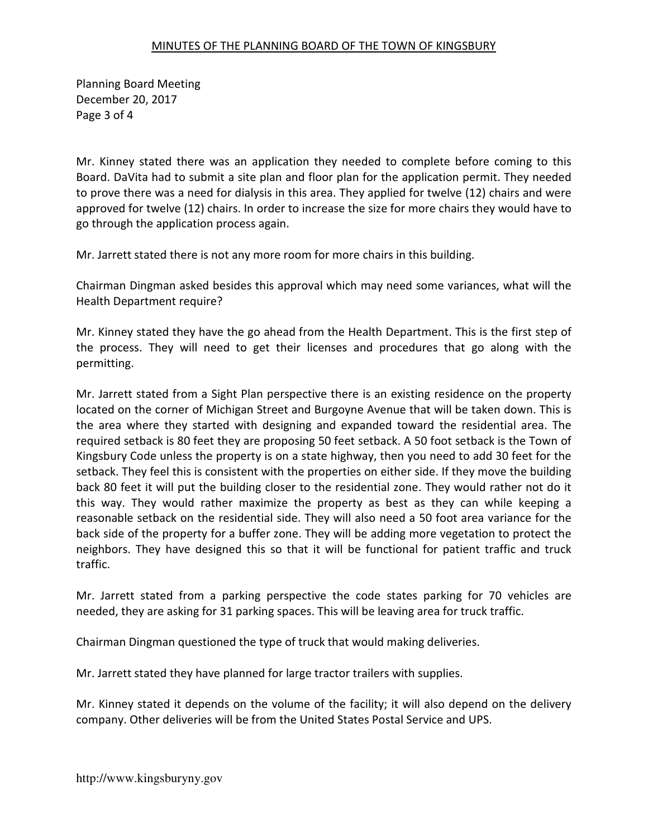## MINUTES OF THE PLANNING BOARD OF THE TOWN OF KINGSBURY

Planning Board Meeting December 20, 2017 Page 3 of 4

Mr. Kinney stated there was an application they needed to complete before coming to this Board. DaVita had to submit a site plan and floor plan for the application permit. They needed to prove there was a need for dialysis in this area. They applied for twelve (12) chairs and were approved for twelve (12) chairs. In order to increase the size for more chairs they would have to go through the application process again.

Mr. Jarrett stated there is not any more room for more chairs in this building.

Chairman Dingman asked besides this approval which may need some variances, what will the Health Department require?

Mr. Kinney stated they have the go ahead from the Health Department. This is the first step of the process. They will need to get their licenses and procedures that go along with the permitting.

Mr. Jarrett stated from a Sight Plan perspective there is an existing residence on the property located on the corner of Michigan Street and Burgoyne Avenue that will be taken down. This is the area where they started with designing and expanded toward the residential area. The required setback is 80 feet they are proposing 50 feet setback. A 50 foot setback is the Town of Kingsbury Code unless the property is on a state highway, then you need to add 30 feet for the setback. They feel this is consistent with the properties on either side. If they move the building back 80 feet it will put the building closer to the residential zone. They would rather not do it this way. They would rather maximize the property as best as they can while keeping a reasonable setback on the residential side. They will also need a 50 foot area variance for the back side of the property for a buffer zone. They will be adding more vegetation to protect the neighbors. They have designed this so that it will be functional for patient traffic and truck traffic.

Mr. Jarrett stated from a parking perspective the code states parking for 70 vehicles are needed, they are asking for 31 parking spaces. This will be leaving area for truck traffic.

Chairman Dingman questioned the type of truck that would making deliveries.

Mr. Jarrett stated they have planned for large tractor trailers with supplies.

Mr. Kinney stated it depends on the volume of the facility; it will also depend on the delivery company. Other deliveries will be from the United States Postal Service and UPS.